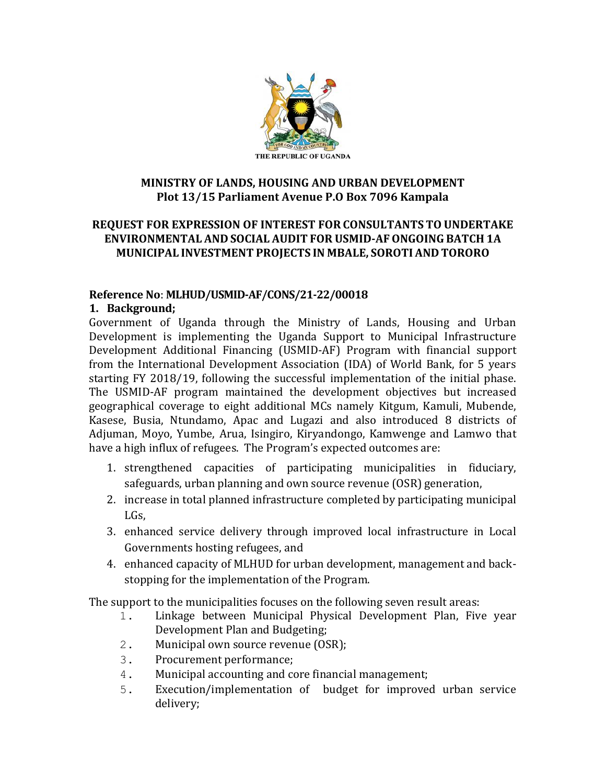

#### **MINISTRY OF LANDS, HOUSING AND URBAN DEVELOPMENT Plot 13/15 Parliament Avenue P.O Box 7096 Kampala**

# **REQUEST FOR EXPRESSION OF INTEREST FOR CONSULTANTS TO UNDERTAKE ENVIRONMENTAL AND SOCIAL AUDIT FOR USMID-AFONGOING BATCH 1A MUNICIPAL INVESTMENT PROJECTS IN MBALE, SOROTI AND TORORO**

# **Reference No**: **MLHUD/USMID-AF/CONS/21-22/00018**

# **1. Background;**

Government of Uganda through the Ministry of Lands, Housing and Urban Development is implementing the Uganda Support to Municipal Infrastructure Development Additional Financing (USMID-AF) Program with financial support from the International Development Association (IDA) of World Bank, for 5 years starting FY 2018/19, following the successful implementation of the initial phase. The USMID-AF program maintained the development objectives but increased geographical coverage to eight additional MCs namely Kitgum, Kamuli, Mubende, Kasese, Busia, Ntundamo, Apac and Lugazi and also introduced 8 districts of Adjuman, Moyo, Yumbe, Arua, Isingiro, Kiryandongo, Kamwenge and Lamwo that have a high influx of refugees. The Program's expected outcomes are:

- 1. strengthened capacities of participating municipalities in fiduciary, safeguards, urban planning and own source revenue (OSR) generation,
- 2. increase in total planned infrastructure completed by participating municipal LGs,
- 3. enhanced service delivery through improved local infrastructure in Local Governments hosting refugees, and
- 4. enhanced capacity of MLHUD for urban development, management and backstopping for the implementation of the Program.

The support to the municipalities focuses on the following seven result areas:

- 1. Linkage between Municipal Physical Development Plan, Five year Development Plan and Budgeting;
- 2. Municipal own source revenue (OSR);
- 3. Procurement performance;
- 4. Municipal accounting and core financial management;
- 5. Execution/implementation of budget for improved urban service delivery;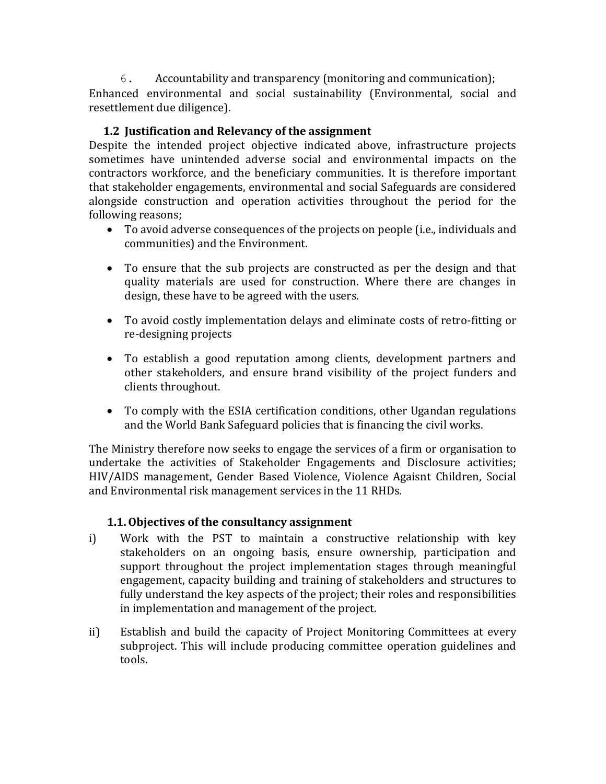6. Accountability and transparency (monitoring and communication); Enhanced environmental and social sustainability (Environmental, social and resettlement due diligence).

# **1.2 Justification and Relevancy of the assignment**

Despite the intended project objective indicated above, infrastructure projects sometimes have unintended adverse social and environmental impacts on the contractors workforce, and the beneficiary communities. It is therefore important that stakeholder engagements, environmental and social Safeguards are considered alongside construction and operation activities throughout the period for the following reasons;

- To avoid adverse consequences of the projects on people (i.e., individuals and communities) and the Environment.
- To ensure that the sub projects are constructed as per the design and that quality materials are used for construction. Where there are changes in design, these have to be agreed with the users.
- To avoid costly implementation delays and eliminate costs of retro-fitting or re-designing projects
- To establish a good reputation among clients, development partners and other stakeholders, and ensure brand visibility of the project funders and clients throughout.
- To comply with the ESIA certification conditions, other Ugandan regulations and the World Bank Safeguard policies that is financing the civil works.

The Ministry therefore now seeks to engage the services of a firm or organisation to undertake the activities of Stakeholder Engagements and Disclosure activities; HIV/AIDS management, Gender Based Violence, Violence Agaisnt Children, Social and Environmental risk management services in the 11 RHDs.

#### **1.1.Objectives of the consultancy assignment**

- i) Work with the PST to maintain a constructive relationship with key stakeholders on an ongoing basis, ensure ownership, participation and support throughout the project implementation stages through meaningful engagement, capacity building and training of stakeholders and structures to fully understand the key aspects of the project; their roles and responsibilities in implementation and management of the project.
- ii) Establish and build the capacity of Project Monitoring Committees at every subproject. This will include producing committee operation guidelines and tools.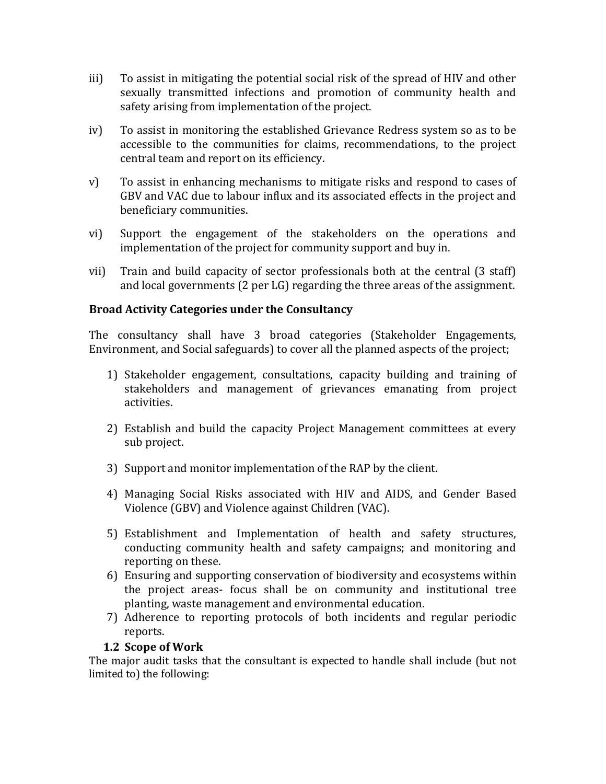- iii) To assist in mitigating the potential social risk of the spread of HIV and other sexually transmitted infections and promotion of community health and safety arising from implementation of the project.
- iv) To assist in monitoring the established Grievance Redress system so as to be accessible to the communities for claims, recommendations, to the project central team and report on its efficiency.
- v) To assist in enhancing mechanisms to mitigate risks and respond to cases of GBV and VAC due to labour influx and its associated effects in the project and beneficiary communities.
- vi) Support the engagement of the stakeholders on the operations and implementation of the project for community support and buy in.
- vii) Train and build capacity of sector professionals both at the central (3 staff) and local governments (2 per LG) regarding the three areas of the assignment.

# **Broad Activity Categories under the Consultancy**

The consultancy shall have 3 broad categories (Stakeholder Engagements, Environment, and Social safeguards) to cover all the planned aspects of the project;

- 1) Stakeholder engagement, consultations, capacity building and training of stakeholders and management of grievances emanating from project activities.
- 2) Establish and build the capacity Project Management committees at every sub project.
- 3) Support and monitor implementation of the RAP by the client.
- 4) Managing Social Risks associated with HIV and AIDS, and Gender Based Violence (GBV) and Violence against Children (VAC).
- 5) Establishment and Implementation of health and safety structures, conducting community health and safety campaigns; and monitoring and reporting on these.
- 6) Ensuring and supporting conservation of biodiversity and ecosystems within the project areas- focus shall be on community and institutional tree planting, waste management and environmental education.
- 7) Adherence to reporting protocols of both incidents and regular periodic reports.

#### **1.2 Scope of Work**

The major audit tasks that the consultant is expected to handle shall include (but not limited to) the following: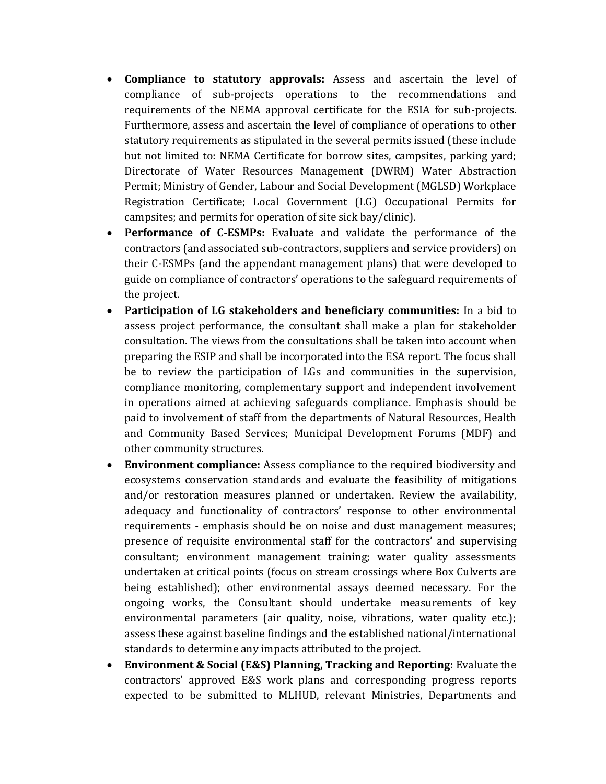- **Compliance to statutory approvals:** Assess and ascertain the level of compliance of sub-projects operations to the recommendations and requirements of the NEMA approval certificate for the ESIA for sub-projects. Furthermore, assess and ascertain the level of compliance of operations to other statutory requirements as stipulated in the several permits issued (these include but not limited to: NEMA Certificate for borrow sites, campsites, parking yard; Directorate of Water Resources Management (DWRM) Water Abstraction Permit; Ministry of Gender, Labour and Social Development (MGLSD) Workplace Registration Certificate; Local Government (LG) Occupational Permits for campsites; and permits for operation of site sick bay/clinic).
- **Performance of C-ESMPs:** Evaluate and validate the performance of the contractors (and associated sub-contractors, suppliers and service providers) on their C-ESMPs (and the appendant management plans) that were developed to guide on compliance of contractors' operations to the safeguard requirements of the project.
- **Participation of LG stakeholders and beneficiary communities:** In a bid to assess project performance, the consultant shall make a plan for stakeholder consultation. The views from the consultations shall be taken into account when preparing the ESIP and shall be incorporated into the ESA report. The focus shall be to review the participation of LGs and communities in the supervision, compliance monitoring, complementary support and independent involvement in operations aimed at achieving safeguards compliance. Emphasis should be paid to involvement of staff from the departments of Natural Resources, Health and Community Based Services; Municipal Development Forums (MDF) and other community structures.
- **Environment compliance:** Assess compliance to the required biodiversity and ecosystems conservation standards and evaluate the feasibility of mitigations and/or restoration measures planned or undertaken. Review the availability, adequacy and functionality of contractors' response to other environmental requirements - emphasis should be on noise and dust management measures; presence of requisite environmental staff for the contractors' and supervising consultant; environment management training; water quality assessments undertaken at critical points (focus on stream crossings where Box Culverts are being established); other environmental assays deemed necessary. For the ongoing works, the Consultant should undertake measurements of key environmental parameters (air quality, noise, vibrations, water quality etc.); assess these against baseline findings and the established national/international standards to determine any impacts attributed to the project.
- **Environment & Social (E&S) Planning, Tracking and Reporting:** Evaluate the contractors' approved E&S work plans and corresponding progress reports expected to be submitted to MLHUD, relevant Ministries, Departments and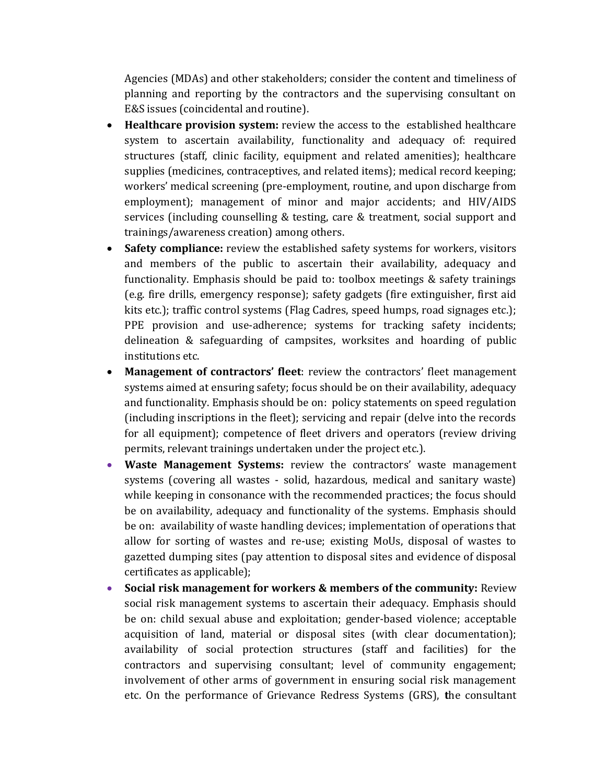Agencies (MDAs) and other stakeholders; consider the content and timeliness of planning and reporting by the contractors and the supervising consultant on E&S issues (coincidental and routine).

- **Healthcare provision system:** review the access to the established healthcare system to ascertain availability, functionality and adequacy of: required structures (staff, clinic facility, equipment and related amenities); healthcare supplies (medicines, contraceptives, and related items); medical record keeping; workers' medical screening (pre-employment, routine, and upon discharge from employment); management of minor and major accidents; and HIV/AIDS services (including counselling & testing, care & treatment, social support and trainings/awareness creation) among others.
- **Safety compliance:** review the established safety systems for workers, visitors and members of the public to ascertain their availability, adequacy and functionality. Emphasis should be paid to: toolbox meetings & safety trainings (e.g. fire drills, emergency response); safety gadgets (fire extinguisher, first aid kits etc.); traffic control systems (Flag Cadres, speed humps, road signages etc.); PPE provision and use-adherence; systems for tracking safety incidents; delineation & safeguarding of campsites, worksites and hoarding of public institutions etc.
- **Management of contractors' fleet**: review the contractors' fleet management systems aimed at ensuring safety; focus should be on their availability, adequacy and functionality. Emphasis should be on: policy statements on speed regulation (including inscriptions in the fleet); servicing and repair (delve into the records for all equipment); competence of fleet drivers and operators (review driving permits, relevant trainings undertaken under the project etc.).
- **Waste Management Systems:** review the contractors' waste management systems (covering all wastes - solid, hazardous, medical and sanitary waste) while keeping in consonance with the recommended practices; the focus should be on availability, adequacy and functionality of the systems. Emphasis should be on: availability of waste handling devices; implementation of operations that allow for sorting of wastes and re-use; existing MoUs, disposal of wastes to gazetted dumping sites (pay attention to disposal sites and evidence of disposal certificates as applicable);
- **Social risk management for workers & members of the community:** Review social risk management systems to ascertain their adequacy. Emphasis should be on: child sexual abuse and exploitation; gender-based violence; acceptable acquisition of land, material or disposal sites (with clear documentation); availability of social protection structures (staff and facilities) for the contractors and supervising consultant; level of community engagement; involvement of other arms of government in ensuring social risk management etc. On the performance of Grievance Redress Systems (GRS), **t**he consultant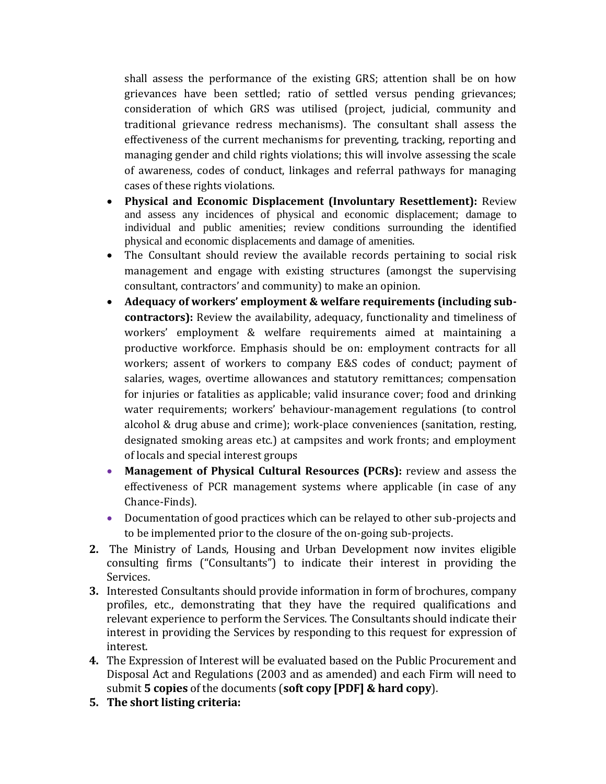shall assess the performance of the existing GRS; attention shall be on how grievances have been settled; ratio of settled versus pending grievances; consideration of which GRS was utilised (project, judicial, community and traditional grievance redress mechanisms). The consultant shall assess the effectiveness of the current mechanisms for preventing, tracking, reporting and managing gender and child rights violations; this will involve assessing the scale of awareness, codes of conduct, linkages and referral pathways for managing cases of these rights violations.

- **Physical and Economic Displacement (Involuntary Resettlement):** Review and assess any incidences of physical and economic displacement; damage to individual and public amenities; review conditions surrounding the identified physical and economic displacements and damage of amenities.
- The Consultant should review the available records pertaining to social risk management and engage with existing structures (amongst the supervising consultant, contractors' and community) to make an opinion.
- **Adequacy of workers' employment & welfare requirements (including subcontractors):** Review the availability, adequacy, functionality and timeliness of workers' employment & welfare requirements aimed at maintaining a productive workforce. Emphasis should be on: employment contracts for all workers; assent of workers to company E&S codes of conduct; payment of salaries, wages, overtime allowances and statutory remittances; compensation for injuries or fatalities as applicable; valid insurance cover; food and drinking water requirements; workers' behaviour-management regulations (to control alcohol & drug abuse and crime); work-place conveniences (sanitation, resting, designated smoking areas etc.) at campsites and work fronts; and employment of locals and special interest groups
- **Management of Physical Cultural Resources (PCRs):** review and assess the effectiveness of PCR management systems where applicable (in case of any Chance-Finds).
- Documentation of good practices which can be relayed to other sub-projects and to be implemented prior to the closure of the on-going sub-projects.
- **2.** The Ministry of Lands, Housing and Urban Development now invites eligible consulting firms ("Consultants") to indicate their interest in providing the Services.
- **3.** Interested Consultants should provide information in form of brochures, company profiles, etc., demonstrating that they have the required qualifications and relevant experience to perform the Services. The Consultants should indicate their interest in providing the Services by responding to this request for expression of interest.
- **4.** The Expression of Interest will be evaluated based on the Public Procurement and Disposal Act and Regulations (2003 and as amended) and each Firm will need to submit **5 copies** of the documents (**soft copy [PDF] & hard copy**).
- **5. The short listing criteria:**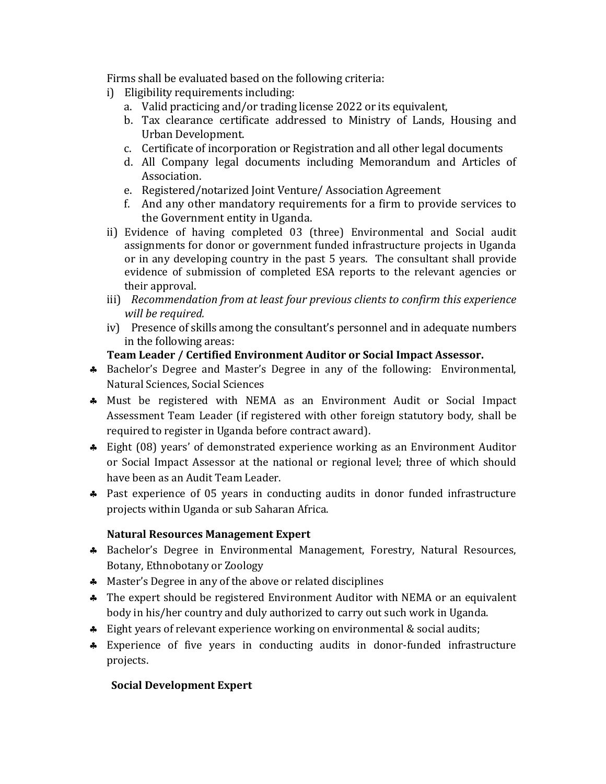Firms shall be evaluated based on the following criteria:

- i) Eligibility requirements including:
	- a. Valid practicing and/or trading license 2022 or its equivalent,
	- b. Tax clearance certificate addressed to Ministry of Lands, Housing and Urban Development.
	- c. Certificate of incorporation or Registration and all other legal documents
	- d. All Company legal documents including Memorandum and Articles of Association.
	- e. Registered/notarized Joint Venture/ Association Agreement
	- f. And any other mandatory requirements for a firm to provide services to the Government entity in Uganda.
- ii) Evidence of having completed 03 (three) Environmental and Social audit assignments for donor or government funded infrastructure projects in Uganda or in any developing country in the past 5 years. The consultant shall provide evidence of submission of completed ESA reports to the relevant agencies or their approval.
- iii) *Recommendation from at least four previous clients to confirm this experience will be required.*
- iv) Presence of skills among the consultant's personnel and in adequate numbers in the following areas:

# **Team Leader / Certified Environment Auditor or Social Impact Assessor.**

- Bachelor's Degree and Master's Degree in any of the following: Environmental, Natural Sciences, Social Sciences
- Must be registered with NEMA as an Environment Audit or Social Impact Assessment Team Leader (if registered with other foreign statutory body, shall be required to register in Uganda before contract award).
- Eight (08) years' of demonstrated experience working as an Environment Auditor or Social Impact Assessor at the national or regional level; three of which should have been as an Audit Team Leader.
- \* Past experience of 05 years in conducting audits in donor funded infrastructure projects within Uganda or sub Saharan Africa.

# **Natural Resources Management Expert**

- Bachelor's Degree in Environmental Management, Forestry, Natural Resources, Botany, Ethnobotany or Zoology
- A Master's Degree in any of the above or related disciplines
- \* The expert should be registered Environment Auditor with NEMA or an equivalent body in his/her country and duly authorized to carry out such work in Uganda.
- Eight years of relevant experience working on environmental & social audits;
- Experience of five years in conducting audits in donor-funded infrastructure projects.

# **Social Development Expert**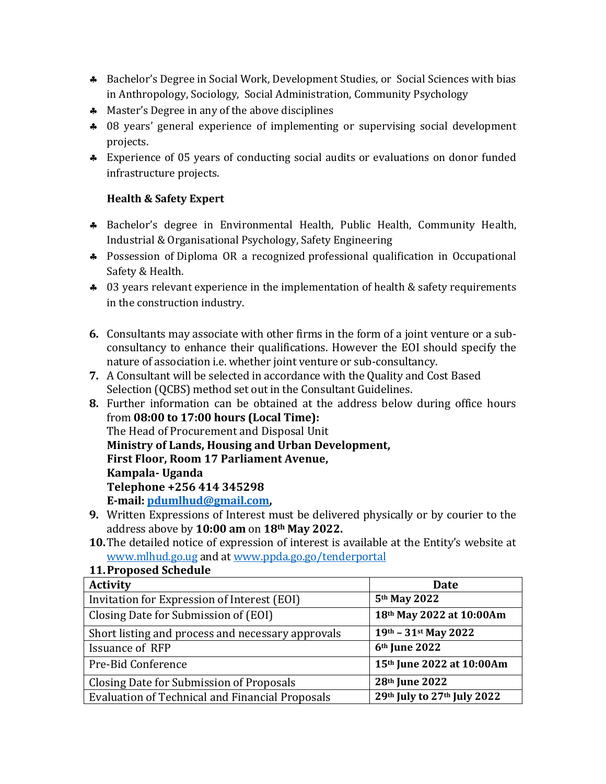- Bachelor's Degree in Social Work, Development Studies, or Social Sciences with bias in Anthropology, Sociology, Social Administration, Community Psychology
- **A** Master's Degree in any of the above disciplines
- 08 years' general experience of implementing or supervising social development projects.
- Experience of 05 years of conducting social audits or evaluations on donor funded infrastructure projects.

# **Health & Safety Expert**

- Bachelor's degree in Environmental Health, Public Health, Community Health, Industrial & Organisational Psychology, Safety Engineering
- \* Possession of Diploma OR a recognized professional qualification in Occupational Safety & Health.
- \* 03 years relevant experience in the implementation of health & safety requirements in the construction industry.
- **6.** Consultants may associate with other firms in the form of a joint venture or a subconsultancy to enhance their qualifications. However the EOI should specify the nature of association i.e. whether joint venture or sub-consultancy.
- **7.** A Consultant will be selected in accordance with the Quality and Cost Based Selection (QCBS) method set out in the Consultant Guidelines.
- **8.** Further information can be obtained at the address below during office hours from **08:00 to 17:00 hours (Local Time):** The Head of Procurement and Disposal Unit **Ministry of Lands, Housing and Urban Development, First Floor, Room 17 Parliament Avenue, Kampala- Uganda Telephone +256 414 345298 E-mail[: pdumlhud@gmail.com,](mailto:pdumlhud@gmail.com)**
- **9.** Written Expressions of Interest must be delivered physically or by courier to the address above by **10:00 am** on **18th May 2022.**
- **10.**The detailed notice of expression of interest is available at the Entity's website at [www.mlhud.go.ug](http://www.mlhud.go.ug/) and at [www.ppda.go.go/tenderportal](http://www.ppda.go.go/tenderportal)

| 11. Proposed Schedule                       |
|---------------------------------------------|
| <b>Activity</b>                             |
| Invitation for Expression of Interest (EOI) |
| Closing Date for Submission of (EOI)        |
|                                             |

# **11.Proposed Schedule**

| <b>Activity</b>                                        | <b>Date</b>                 |
|--------------------------------------------------------|-----------------------------|
| Invitation for Expression of Interest (EOI)            | 5th May 2022                |
| Closing Date for Submission of (EOI)                   | 18th May 2022 at 10:00Am    |
| Short listing and process and necessary approvals      | $19th - 31st$ May 2022      |
| Issuance of RFP                                        | 6 <sup>th</sup> June 2022   |
| Pre-Bid Conference                                     | 15th June 2022 at 10:00Am   |
| Closing Date for Submission of Proposals               | 28th June 2022              |
| <b>Evaluation of Technical and Financial Proposals</b> | 29th July to 27th July 2022 |